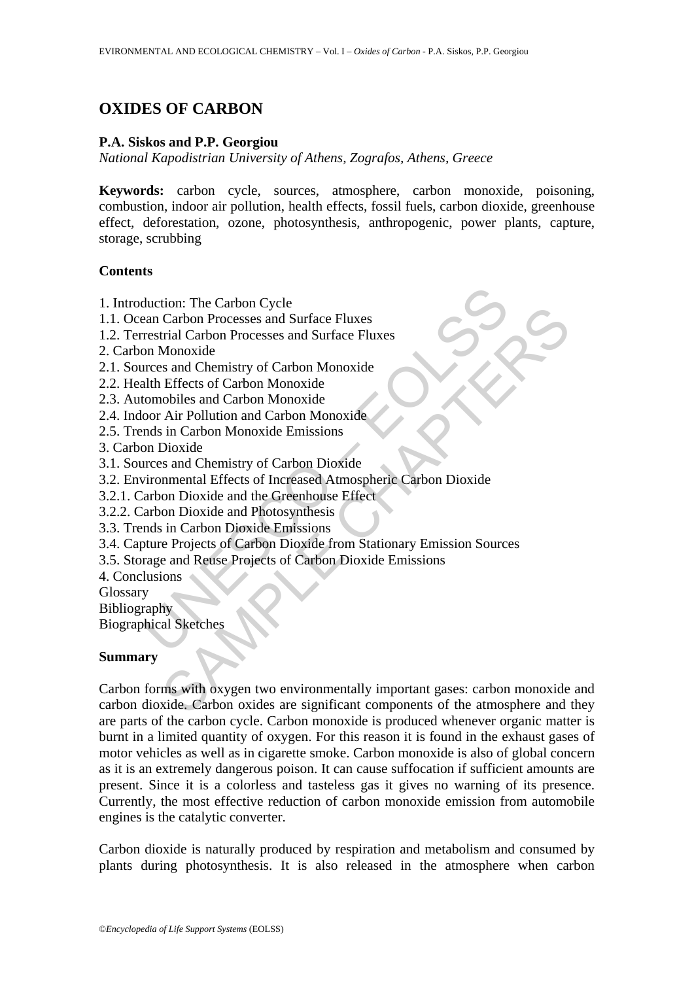# **OXIDES OF CARBON**

#### **P.A. Siskos and P.P. Georgiou**

*National Kapodistrian University of Athens, Zografos, Athens, Greece* 

**Keywords:** carbon cycle, sources, atmosphere, carbon monoxide, poisoning, combustion, indoor air pollution, health effects, fossil fuels, carbon dioxide, greenhouse effect, deforestation, ozone, photosynthesis, anthropogenic, power plants, capture, storage, scrubbing

#### **Contents**

- 1. Introduction: The Carbon Cycle
- 1.1. Ocean Carbon Processes and Surface Fluxes
- 1.2. Terrestrial Carbon Processes and Surface Fluxes
- 2. Carbon Monoxide
- 2.1. Sources and Chemistry of Carbon Monoxide
- 2.2. Health Effects of Carbon Monoxide
- 2.3. Automobiles and Carbon Monoxide
- 2.4. Indoor Air Pollution and Carbon Monoxide
- 2.5. Trends in Carbon Monoxide Emissions
- 3. Carbon Dioxide
- 3.1. Sources and Chemistry of Carbon Dioxide
- 3.2. Environmental Effects of Increased Atmospheric Carbon Dioxide
- 3.2.1. Carbon Dioxide and the Greenhouse Effect
- 3.2.2. Carbon Dioxide and Photosynthesis
- 3.3. Trends in Carbon Dioxide Emissions
- duction: The Carbon Cycle<br>
eaan Carbon Processes and Surface Fluxes<br>
restrial Carbon Processes and Surface Fluxes<br>
metrical Carbon Monoxide<br>
trees and Chemistry of Carbon Monoxide<br>
tornobiles and Carbon Monoxide<br>
oor Air P 3.4. Capture Projects of Carbon Dioxide from Stationary Emission Sources
- 3.5. Storage and Reuse Projects of Carbon Dioxide Emissions
- 4. Conclusions
- Glossary

Bibliography

Biographical Sketches

### **Summary**

For Carlon Processes and Surface Fluxes<br>
Carbon Processes and Surface Fluxes<br>
trial Carbon Processes and Surface Fluxes<br>
Monoxide<br>
Effects of Carbon Monoxide<br>
Effects of Carbon Monoxide<br>
in Carbon Monoxide<br>
in Carbon Monox Carbon forms with oxygen two environmentally important gases: carbon monoxide and carbon dioxide. Carbon oxides are significant components of the atmosphere and they are parts of the carbon cycle. Carbon monoxide is produced whenever organic matter is burnt in a limited quantity of oxygen. For this reason it is found in the exhaust gases of motor vehicles as well as in cigarette smoke. Carbon monoxide is also of global concern as it is an extremely dangerous poison. It can cause suffocation if sufficient amounts are present. Since it is a colorless and tasteless gas it gives no warning of its presence. Currently, the most effective reduction of carbon monoxide emission from automobile engines is the catalytic converter.

Carbon dioxide is naturally produced by respiration and metabolism and consumed by plants during photosynthesis. It is also released in the atmosphere when carbon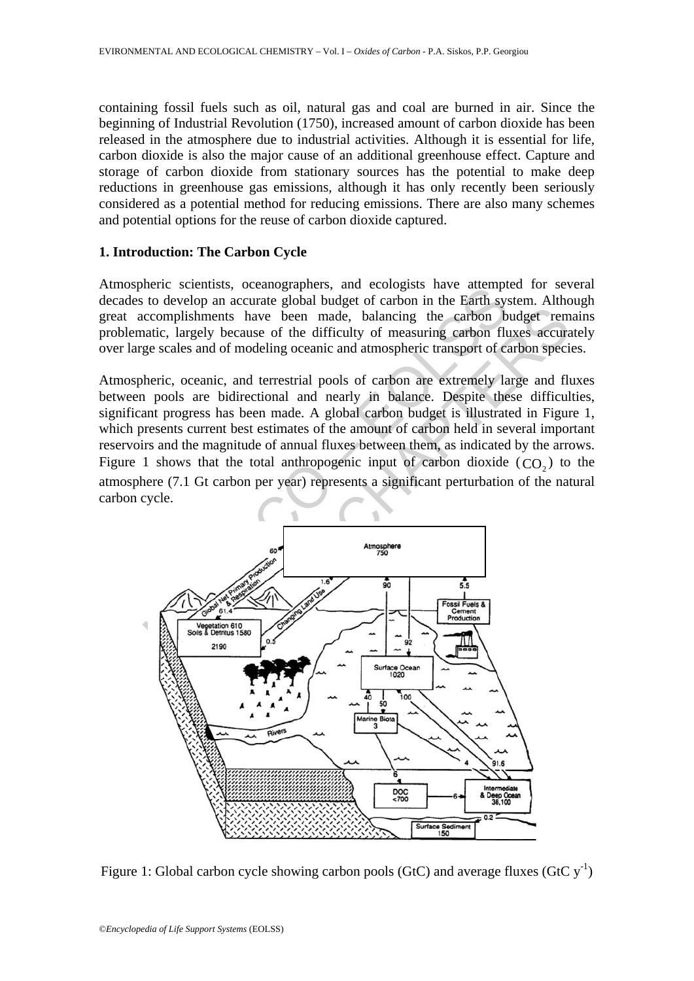containing fossil fuels such as oil, natural gas and coal are burned in air. Since the beginning of Industrial Revolution (1750), increased amount of carbon dioxide has been released in the atmosphere due to industrial activities. Although it is essential for life, carbon dioxide is also the major cause of an additional greenhouse effect. Capture and storage of carbon dioxide from stationary sources has the potential to make deep reductions in greenhouse gas emissions, although it has only recently been seriously considered as a potential method for reducing emissions. There are also many schemes and potential options for the reuse of carbon dioxide captured.

#### **1. Introduction: The Carbon Cycle**

Atmospheric scientists, oceanographers, and ecologists have attempted for several decades to develop an accurate global budget of carbon in the Earth system. Although great accomplishments have been made, balancing the carbon budget remains problematic, largely because of the difficulty of measuring carbon fluxes accurately over large scales and of modeling oceanic and atmospheric transport of carbon species.

Atmospheric, oceanic, and terrestrial pools of carbon are extremely large and fluxes between pools are bidirectional and nearly in balance. Despite these difficulties, significant progress has been made. A global carbon budget is illustrated in Figure 1, which presents current best estimates of the amount of carbon held in several important reservoirs and the magnitude of annual fluxes between them, as indicated by the arrows. Figure 1 shows that the total anthropogenic input of carbon dioxide  $(CO<sub>2</sub>)$  to the atmosphere (7.1 Gt carbon per year) represents a significant perturbation of the natural carbon cycle.



Figure 1: Global carbon cycle showing carbon pools (GtC) and average fluxes (GtC  $y^{-1}$ )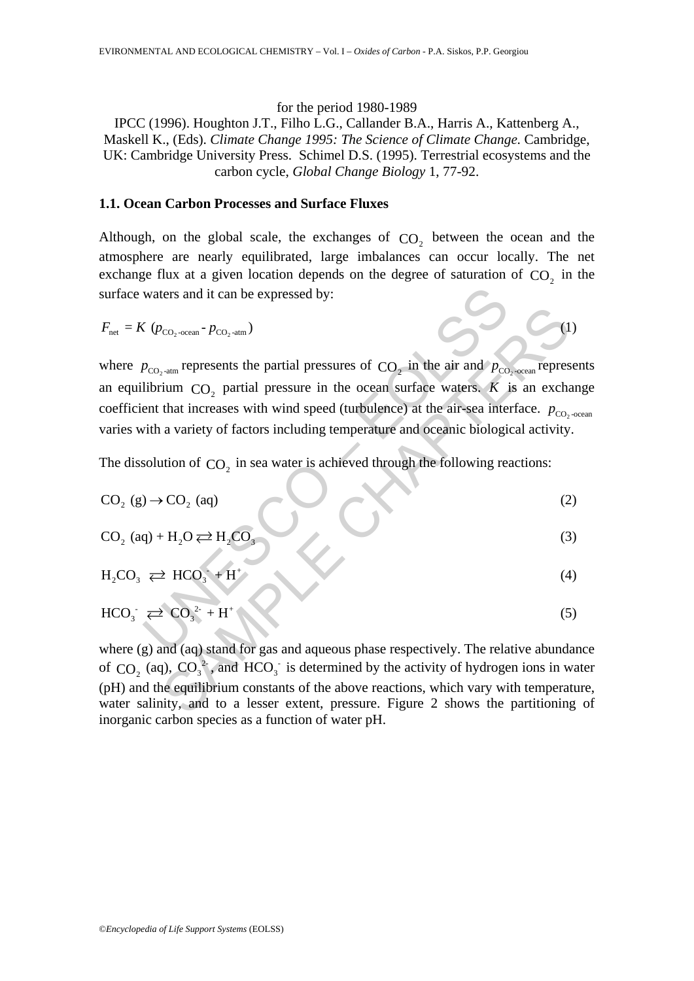for the period 1980-1989

IPCC (1996). Houghton J.T., Filho L.G., Callander B.A., Harris A., Kattenberg A., Maskell K., (Eds). *Climate Change 1995: The Science of Climate Change.* Cambridge, UK: Cambridge University Press. Schimel D.S. (1995). Terrestrial ecosystems and the carbon cycle, *Global Change Biology* 1, 77-92.

#### **1.1. Ocean Carbon Processes and Surface Fluxes**

Although, on the global scale, the exchanges of  $CO<sub>2</sub>$  between the ocean and the atmosphere are nearly equilibrated, large imbalances can occur locally. The net exchange flux at a given location depends on the degree of saturation of  $CO<sub>2</sub>$  in the surface waters and it can be expressed by:

$$
F_{\text{net}} = K \left( p_{\text{CO}_2\text{-ocean}} - p_{\text{CO}_2\text{-atm}} \right)
$$
 (1)

waters and it can be expressed by:<br>  $(\rho_{CO_2\text{-ocmm}} - \rho_{CO_2\text{-atm}})$ <br>  $\rho_{CO_2\text{-adm}}$  represents the partial pressures of  $CO_2$  in the air and  $\rho_{CO_2}$ <br>
librium  $CO_2$  partial pressure in the ocean surface waters. *K* is<br>
ent  $\begin{pmatrix} 2 & 0 & 0 \\ 0 & 0 & 0 \\ 0 & 0 & 0 \\ 0 & 0 & 0 \\ 0 & 0 & 0 \\ 0 & 0 & 0 \\ 0 & 0 & 0 \\ 0 & 0 & 0 \\ 0 & 0 & 0 \\ 0 & 0 & 0 \\ 0 & 0 & 0 \\ 0 & 0 & 0 \\ 0 & 0 & 0 \\ 0 & 0 & 0 \\ 0 & 0 & 0 \\ 0 & 0 & 0 \\ 0 & 0 & 0 \\ 0 & 0 & 0 \\ 0 & 0 & 0 \\ 0 & 0 & 0 \\ 0 & 0 & 0 \\ 0 & 0 & 0 \\ 0 & 0 & 0 \\ 0 & 0 &$ where  $p_{CO_2 \text{-atm}}$  represents the partial pressures of  $CO_2$  in the air and  $p_{CO_2 \text{-ocean}}$  represents an equilibrium  $CO<sub>2</sub>$  partial pressure in the ocean surface waters.  $K$  is an exchange coefficient that increases with wind speed (turbulence) at the air-sea interface.  $p_{\text{CO}_2 \text{-ocean}}$ varies with a variety of factors including temperature and oceanic biological activity.

The dissolution of  $CO<sub>2</sub>$  in sea water is achieved through the following reactions:

$$
CO_2(g) \rightarrow CO_2
$$
 (aq)  
\n $CO_2$  (aq) + H<sub>2</sub>O  $\rightleftharpoons$  H<sub>2</sub>CO<sub>3</sub> (3)

$$
H_2CO_3 \implies HCO_3 + H^+ \tag{4}
$$

$$
HCO_3^{\bullet} \rightleftarrows CO_3^{2\bullet} + H^+ \tag{5}
$$

where (g) and (aq) stand for gas and aqueous phase respectively. The relative abundance of  $CO_2$  (aq),  $CO_3^2$ , and  $HCO_3^-$  is determined by the activity of hydrogen ions in water (pH) and the equilibrium constants of the above reactions, which vary with temperature, water salinity, and to a lesser extent, pressure. Figure 2 shows the partitioning of inorganic carbon species as a function of water pH.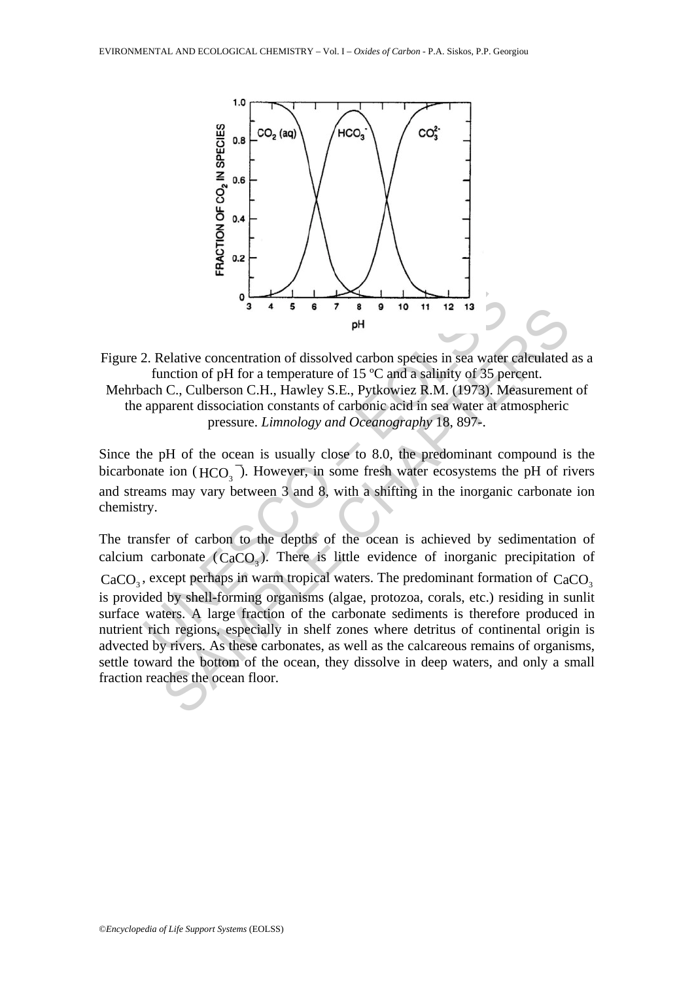

Figure 2. Relative concentration of dissolved carbon species in sea water calculated as a function of pH for a temperature of 15 ºC and a salinity of 35 percent. Mehrbach C., Culberson C.H., Hawley S.E., Pytkowiez R.M. (1973). Measurement of the apparent dissociation constants of carbonic acid in sea water at atmospheric pressure. *Limnology and Oceanography* 18, 897-.

Since the pH of the ocean is usually close to 8.0, the predominant compound is the bicarbonate ion  $(HCO<sub>3</sub><sup>-</sup>)$ . However, in some fresh water ecosystems the pH of rivers and streams may vary between 3 and 8, with a shifting in the inorganic carbonate ion chemistry.

2. Relative concentration of dissolved carbon species in sea water<br>function of pH for a temperature of 15 °C and a salinity of 35 peach C., Culberson C.H., Hawley S.E., Pytkowiez R.M. (1973). Mapparent dissociation consta Relative concentration of dissolved carbon species in sea water calculated<br>
notion of pH for a temperature of 15 °C and a salinity of 35 percent.<br>
C., Cublesson C.H., Hawley S.E., Pytkowiez R.M. (1973). Measurement<br>
notat The transfer of carbon to the depths of the ocean is achieved by sedimentation of calcium carbonate  $(CaCO<sub>3</sub>)$ . There is little evidence of inorganic precipitation of  $CaCO<sub>3</sub>$ , except perhaps in warm tropical waters. The predominant formation of  $CaCO<sub>3</sub>$ is provided by shell-forming organisms (algae, protozoa, corals, etc.) residing in sunlit surface waters. A large fraction of the carbonate sediments is therefore produced in nutrient rich regions, especially in shelf zones where detritus of continental origin is advected by rivers. As these carbonates, as well as the calcareous remains of organisms, settle toward the bottom of the ocean, they dissolve in deep waters, and only a small fraction reaches the ocean floor.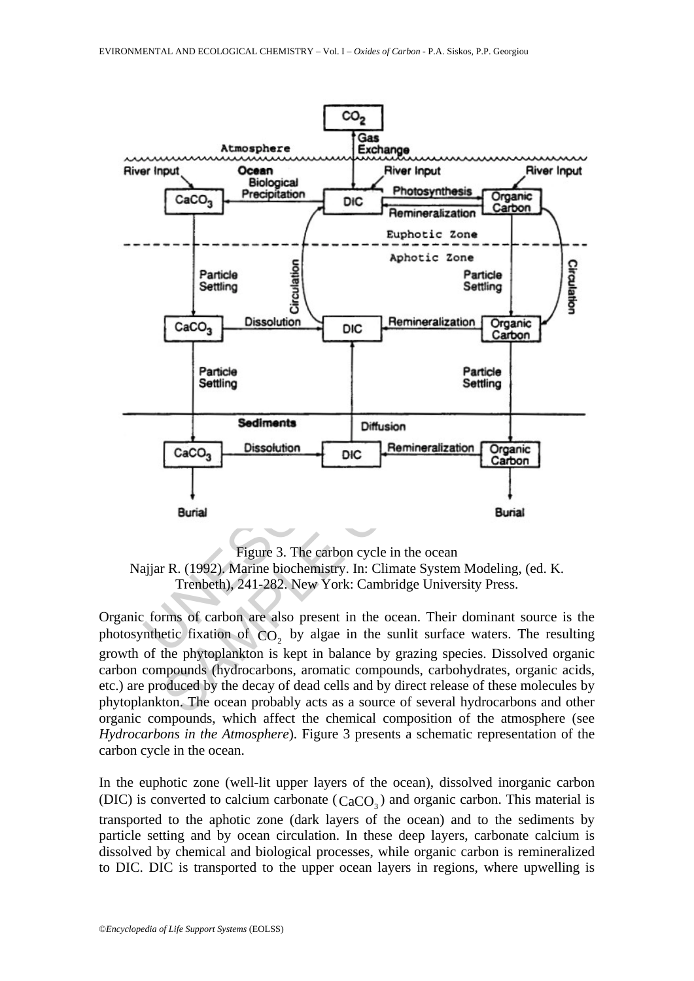

Figure 3. The carbon cycle in the ocean Najjar R. (1992). Marine biochemistry. In: Climate System Modeling, (ed. K. Trenbeth), 241-282. New York: Cambridge University Press.

Organic forms of carbon are also present in the ocean. Their dominant source is the photosynthetic fixation of  $CO<sub>2</sub>$  by algae in the sunlit surface waters. The resulting growth of the phytoplankton is kept in balance by grazing species. Dissolved organic carbon compounds (hydrocarbons, aromatic compounds, carbohydrates, organic acids, etc.) are produced by the decay of dead cells and by direct release of these molecules by phytoplankton. The ocean probably acts as a source of several hydrocarbons and other organic compounds, which affect the chemical composition of the atmosphere (see *Hydrocarbons in the Atmosphere*). Figure 3 presents a schematic representation of the carbon cycle in the ocean.

In the euphotic zone (well-lit upper layers of the ocean), dissolved inorganic carbon (DIC) is converted to calcium carbonate  $(CaCO<sub>3</sub>)$  and organic carbon. This material is transported to the aphotic zone (dark layers of the ocean) and to the sediments by particle setting and by ocean circulation. In these deep layers, carbonate calcium is dissolved by chemical and biological processes, while organic carbon is remineralized to DIC. DIC is transported to the upper ocean layers in regions, where upwelling is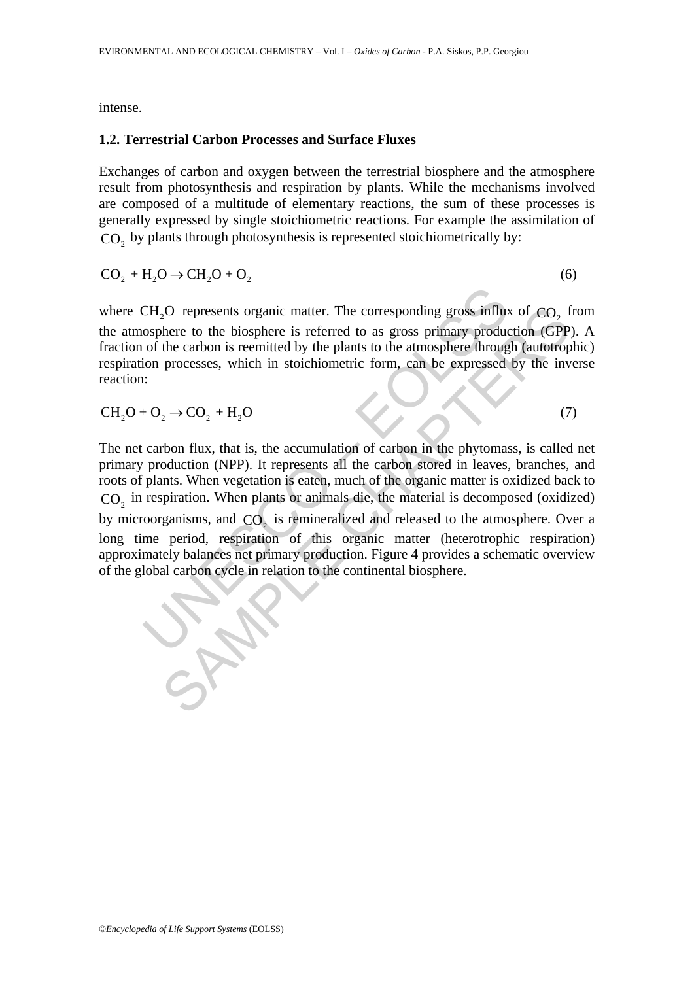intense.

### **1.2. Terrestrial Carbon Processes and Surface Fluxes**

Exchanges of carbon and oxygen between the terrestrial biosphere and the atmosphere result from photosynthesis and respiration by plants. While the mechanisms involved are composed of a multitude of elementary reactions, the sum of these processes is generally expressed by single stoichiometric reactions. For example the assimilation of  $CO<sub>2</sub>$  by plants through photosynthesis is represented stoichiometrically by:

$$
CO2 + H2O \rightarrow CH2O + O2
$$
 (6)

where  $CH<sub>2</sub>O$  represents organic matter. The corresponding gross influx of  $CO<sub>2</sub>$  from the atmosphere to the biosphere is referred to as gross primary production (GPP). A fraction of the carbon is reemitted by the plants to the atmosphere through (autotrophic) respiration processes, which in stoichiometric form, can be expressed by the inverse reaction:

$$
CH_2O + O_2 \rightarrow CO_2 + H_2O \tag{7}
$$

CH<sub>2</sub>O represents organic matter. The corresponding gross influx<br>osphere to the biosphere is referred to as gross primary produce<br>of the carbon is reemitted by the plants to the atmosphere through<br>ion processes, which in <sup>2</sup>O represents organic matter. The corresponding gross influx of CO<sub>2</sub> f<br>here to the biosphere is referred to as gross primary production (GPP<br>the carbon is reemitted by the plants to the atmosphere through (autotrop<br>p The net carbon flux, that is, the accumulation of carbon in the phytomass, is called net primary production (NPP). It represents all the carbon stored in leaves, branches, and roots of plants. When vegetation is eaten, much of the organic matter is oxidized back to CO<sub>2</sub> in respiration. When plants or animals die, the material is decomposed (oxidized) by microorganisms, and CO<sub>2</sub> is remineralized and released to the atmosphere. Over a long time period, respiration of this organic matter (heterotrophic respiration) approximately balances net primary production. Figure 4 provides a schematic overview of the global carbon cycle in relation to the continental biosphere.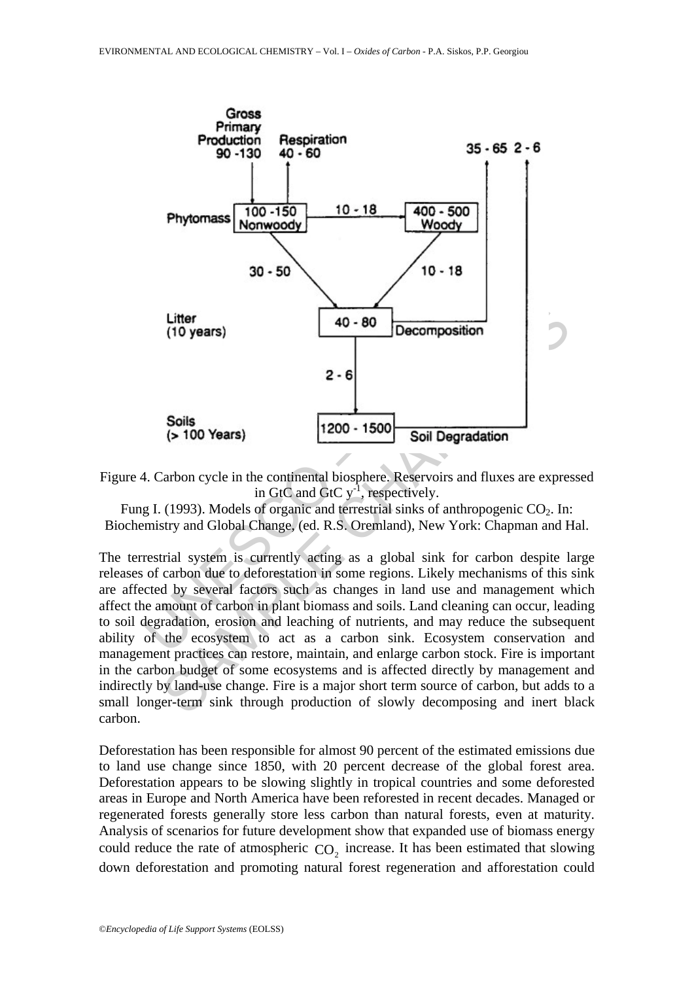

Figure 4. Carbon cycle in the continental biosphere. Reservoirs and fluxes are expressed in GtC and GtC  $y^{-1}$ , respectively.

Fung I. (1993). Models of organic and terrestrial sinks of anthropogenic  $CO<sub>2</sub>$ . In: Biochemistry and Global Change, (ed. R.S. Oremland), New York: Chapman and Hal.

Litter<br>
(10 years) (40 - 80 Decomposition<br>
2 - 6<br>
Soils<br>
(> 100 Years) (200 - 1500 Soil Degradation<br>
2 - 6<br>
Soil Degradation<br>
2 - 6<br>
Soil Degradation<br>
2 - 6<br>
(200 - 1500 Soil Degradation<br>
2 - 6<br>
(200 - 1500 Soil Degradati The terrestrial system is currently acting as a global sink for carbon despite large releases of carbon due to deforestation in some regions. Likely mechanisms of this sink are affected by several factors such as changes in land use and management which affect the amount of carbon in plant biomass and soils. Land cleaning can occur, leading to soil degradation, erosion and leaching of nutrients, and may reduce the subsequent ability of the ecosystem to act as a carbon sink. Ecosystem conservation and management practices can restore, maintain, and enlarge carbon stock. Fire is important in the carbon budget of some ecosystems and is affected directly by management and indirectly by land-use change. Fire is a major short term source of carbon, but adds to a small longer-term sink through production of slowly decomposing and inert black carbon.

Deforestation has been responsible for almost 90 percent of the estimated emissions due to land use change since 1850, with 20 percent decrease of the global forest area. Deforestation appears to be slowing slightly in tropical countries and some deforested areas in Europe and North America have been reforested in recent decades. Managed or regenerated forests generally store less carbon than natural forests, even at maturity. Analysis of scenarios for future development show that expanded use of biomass energy could reduce the rate of atmospheric  $CO<sub>2</sub>$  increase. It has been estimated that slowing down deforestation and promoting natural forest regeneration and afforestation could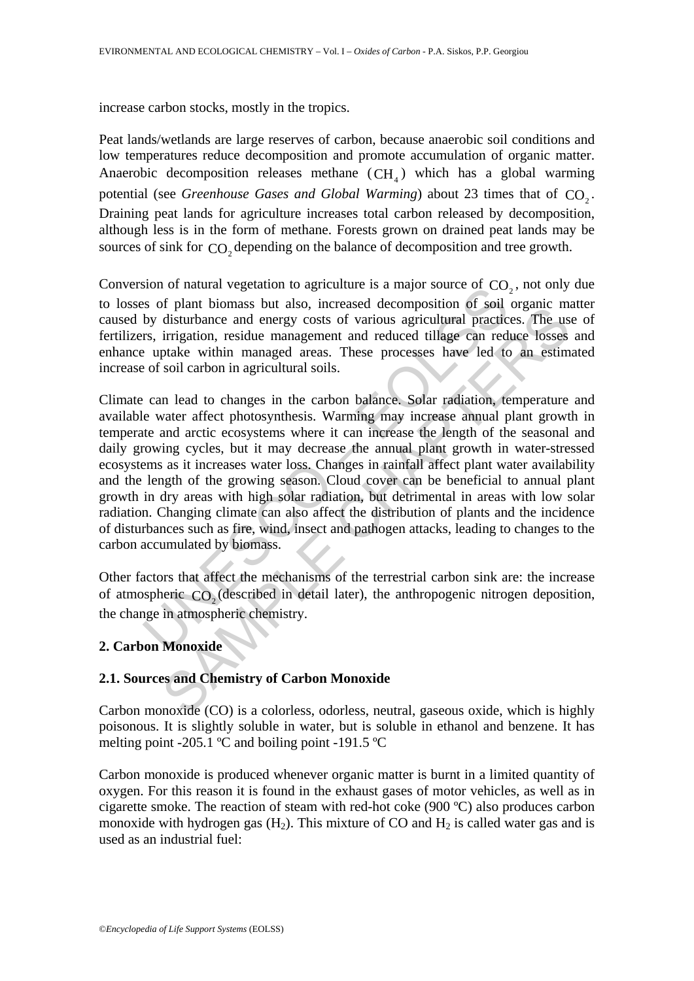increase carbon stocks, mostly in the tropics.

Peat lands/wetlands are large reserves of carbon, because anaerobic soil conditions and low temperatures reduce decomposition and promote accumulation of organic matter. Anaerobic decomposition releases methane  $(CH_4)$  which has a global warming potential (see *Greenhouse Gases and Global Warming*) about 23 times that of CO<sub>2</sub>. Draining peat lands for agriculture increases total carbon released by decomposition, although less is in the form of methane. Forests grown on drained peat lands may be sources of sink for CO<sub>2</sub> depending on the balance of decomposition and tree growth.

Conversion of natural vegetation to agriculture is a major source of  $CO<sub>2</sub>$ , not only due to losses of plant biomass but also, increased decomposition of soil organic matter caused by disturbance and energy costs of various agricultural practices. The use of fertilizers, irrigation, residue management and reduced tillage can reduce losses and enhance uptake within managed areas. These processes have led to an estimated increase of soil carbon in agricultural soils.

so of plant biomass but also, increased decomposition of solid<br>by disturbances and energy costs of various agricultural practic<br>by disturbance and energy costs of various agricultural practic<br>rs, irrigation, residue manage r plant botomass out also, increased uctomposition of solid<br>disturbance and energy costs of various agricultural practices. The us<br>irrigation, residue management and reduced tillage can reduce losses<br>plake within managed Climate can lead to changes in the carbon balance. Solar radiation, temperature and available water affect photosynthesis. Warming may increase annual plant growth in temperate and arctic ecosystems where it can increase the length of the seasonal and daily growing cycles, but it may decrease the annual plant growth in water-stressed ecosystems as it increases water loss. Changes in rainfall affect plant water availability and the length of the growing season. Cloud cover can be beneficial to annual plant growth in dry areas with high solar radiation, but detrimental in areas with low solar radiation. Changing climate can also affect the distribution of plants and the incidence of disturbances such as fire, wind, insect and pathogen attacks, leading to changes to the carbon accumulated by biomass.

Other factors that affect the mechanisms of the terrestrial carbon sink are: the increase of atmospheric CO<sub>2</sub> (described in detail later), the anthropogenic nitrogen deposition, the change in atmospheric chemistry.

## **2. Carbon Monoxide**

## **2.1. Sources and Chemistry of Carbon Monoxide**

Carbon monoxide (CO) is a colorless, odorless, neutral, gaseous oxide, which is highly poisonous. It is slightly soluble in water, but is soluble in ethanol and benzene. It has melting point -205.1 ºC and boiling point -191.5 ºC

Carbon monoxide is produced whenever organic matter is burnt in a limited quantity of oxygen. For this reason it is found in the exhaust gases of motor vehicles, as well as in cigarette smoke. The reaction of steam with red-hot coke (900 ºC) also produces carbon monoxide with hydrogen gas  $(H_2)$ . This mixture of CO and  $H_2$  is called water gas and is used as an industrial fuel: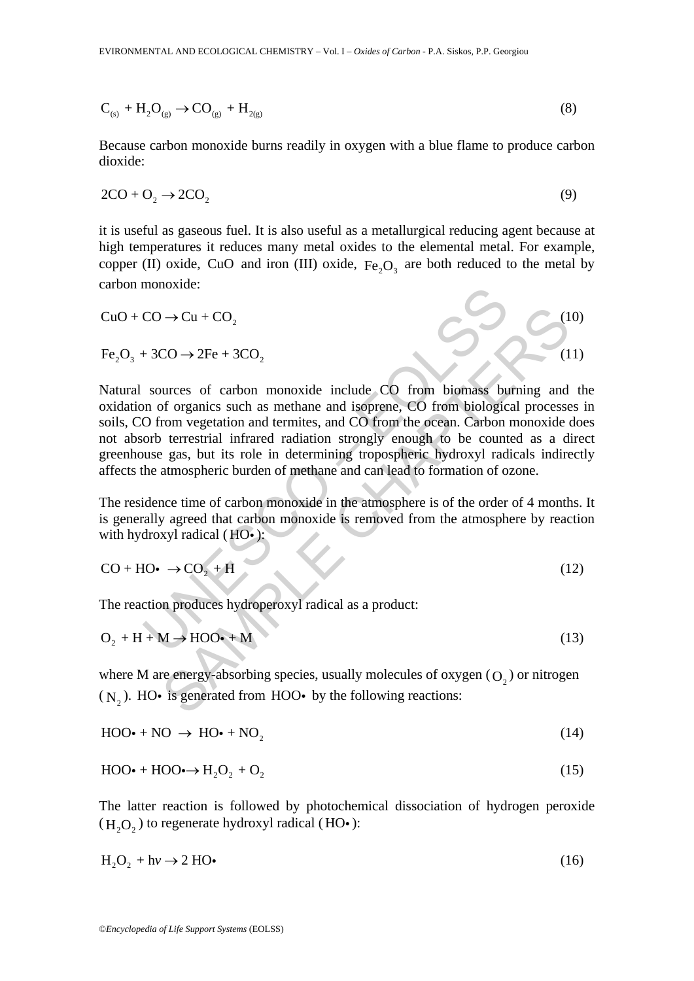$$
C_{(s)} + H_2O_{(g)} \to CO_{(g)} + H_{2(g)}
$$
\n(8)

Because carbon monoxide burns readily in oxygen with a blue flame to produce carbon dioxide:

$$
2CO + O_2 \rightarrow 2CO_2 \tag{9}
$$

it is useful as gaseous fuel. It is also useful as a metallurgical reducing agent because at high temperatures it reduces many metal oxides to the elemental metal. For example, copper (II) oxide, CuO and iron (III) oxide,  $Fe<sub>2</sub>O<sub>3</sub>$  are both reduced to the metal by carbon monoxide:

$$
CuO + CO \rightarrow Cu + CO_2
$$
\n
$$
Fe_2O_3 + 3CO \rightarrow 2Fe + 3CO_2
$$
\n(10)\n(11)

CO → Cu + CO<sub>2</sub><br>  $+3CO \rightarrow 2Fe + 3CO_2$ <br>
sources of carbon monoxide include CO from biomass bu<br>
on of organics such as methane and isoprene, CO from biologic<br>
O from vegetation and termites, and CO from the ocean. Carbon<br>
orb  $\rightarrow$  Cu + CO<sub>2</sub><br>
CO  $\rightarrow$  2Fe + 3CO<sub>2</sub><br>
aurces of carbon monoxide include CO from biomass burning and<br>
of organics such as methane and isoprene, CO from biological processes<br>
trom vegetation and termites, and CO from the o Natural sources of carbon monoxide include CO from biomass burning and the oxidation of organics such as methane and isoprene, CO from biological processes in soils, CO from vegetation and termites, and CO from the ocean. Carbon monoxide does not absorb terrestrial infrared radiation strongly enough to be counted as a direct greenhouse gas, but its role in determining tropospheric hydroxyl radicals indirectly affects the atmospheric burden of methane and can lead to formation of ozone.

The residence time of carbon monoxide in the atmosphere is of the order of 4 months. It is generally agreed that carbon monoxide is removed from the atmosphere by reaction with hydroxyl radical  $(HO\bullet)$ :

$$
CO + HO\bullet \rightarrow CO_2 + H \tag{12}
$$

The reaction produces hydroperoxyl radical as a product:

$$
O_2 + H + M \to HOO \bullet + M \tag{13}
$$

where M are energy-absorbing species, usually molecules of oxygen  $(O<sub>2</sub>)$  or nitrogen  $(N_2)$ . HO• is generated from HOO• by the following reactions:

$$
HOO\bullet + NO \rightarrow HO\bullet + NO_2 \tag{14}
$$

$$
HOO\bullet + HOO\bullet \rightarrow H_2O_2 + O_2 \tag{15}
$$

The latter reaction is followed by photochemical dissociation of hydrogen peroxide  $(H_2O_2)$  to regenerate hydroxyl radical (HO•):

$$
H_2O_2 + h\nu \to 2 \text{ HO}^{\bullet} \tag{16}
$$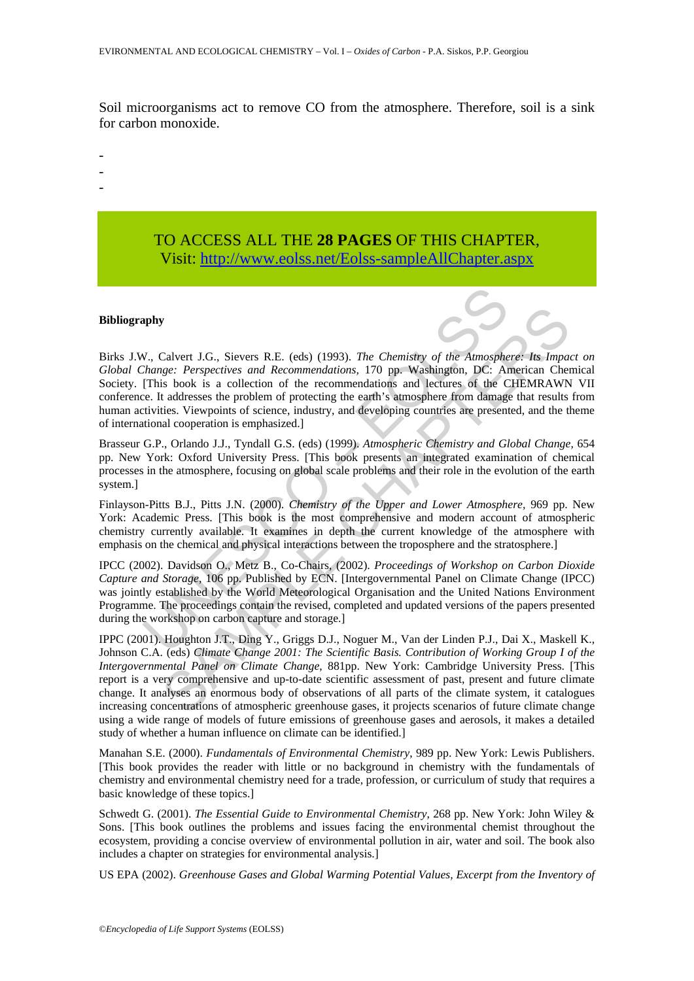Soil microorganisms act to remove CO from the atmosphere. Therefore, soil is a sink for carbon monoxide.

- -
- -
- -

# TO ACCESS ALL THE **28 PAGES** OF THIS CHAPTER, Visi[t: http://www.eolss.net/Eolss-sampleAllChapter.aspx](https://www.eolss.net/ebooklib/sc_cart.aspx?File=E6-13-02-02)

#### **Bibliography**

**Solution**<br>
W., Calvert J.G., Sievers R.E. (eds) (1993). *The Chemistry of the Atmosphe<br>
hange: Perspectives and Recommendations, 170 pp. Washington, DC: Arthony hands in a collection of the ecommendations and lectures of* Birks J.W., Calvert J.G., Sievers R.E. (eds) (1993). *The Chemistry of the Atmosphere: Its Impact on Global Change: Perspectives and Recommendations,* 170 pp. Washington, DC: American Chemical Society. [This book is a collection of the recommendations and lectures of the CHEMRAWN VII conference. It addresses the problem of protecting the earth's atmosphere from damage that results from human activities. Viewpoints of science, industry, and developing countries are presented, and the theme of international cooperation is emphasized.]

Brasseur G.P., Orlando J.J., Tyndall G.S. (eds) (1999). *Atmospheric Chemistry and Global Change,* 654 pp. New York: Oxford University Press. [This book presents an integrated examination of chemical processes in the atmosphere, focusing on global scale problems and their role in the evolution of the earth system.]

Finlayson-Pitts B.J., Pitts J.N. (2000). *Chemistry of the Upper and Lower Atmosphere,* 969 pp. New York: Academic Press. [This book is the most comprehensive and modern account of atmospheric chemistry currently available. It examines in depth the current knowledge of the atmosphere with emphasis on the chemical and physical interactions between the troposphere and the stratosphere.]

IPCC (2002). Davidson O., Metz B., Co-Chairs, (2002). *Proceedings of Workshop on Carbon Dioxide Capture and Storage,* 106 pp. Published by ECN. [Intergovernmental Panel on Climate Change (IPCC) was jointly established by the World Meteorological Organisation and the United Nations Environment Programme. The proceedings contain the revised, completed and updated versions of the papers presented during the workshop on carbon capture and storage.]

**S**<br>
SCALCT J.G., Sievers R.E. (cds) (1993). The Chemistry of the Atmosphere: Its Impage: Perspectives and Recommendations, 170 pp. Washington, DC: American Chemista is book is a collection of the recommendations and lect IPPC (2001). Houghton J.T., Ding Y., Griggs D.J., Noguer M., Van der Linden P.J., Dai X., Maskell K., Johnson C.A. (eds) *Climate Change 2001: The Scientific Basis. Contribution of Working Group I of the Intergovernmental Panel on Climate Change*, 881pp. New York: Cambridge University Press. [This report is a very comprehensive and up-to-date scientific assessment of past, present and future climate change. It analyses an enormous body of observations of all parts of the climate system, it catalogues increasing concentrations of atmospheric greenhouse gases, it projects scenarios of future climate change using a wide range of models of future emissions of greenhouse gases and aerosols, it makes a detailed study of whether a human influence on climate can be identified.]

Manahan S.E. (2000). *Fundamentals of Environmental Chemistry*, 989 pp. New York: Lewis Publishers. [This book provides the reader with little or no background in chemistry with the fundamentals of chemistry and environmental chemistry need for a trade, profession, or curriculum of study that requires a basic knowledge of these topics.]

Schwedt G. (2001). *The Essential Guide to Environmental Chemistry*, 268 pp. New York: John Wiley & Sons. [This book outlines the problems and issues facing the environmental chemist throughout the ecosystem, providing a concise overview of environmental pollution in air, water and soil. The book also includes a chapter on strategies for environmental analysis.]

US EPA (2002). *Greenhouse Gases and Global Warming Potential Values, Excerpt from the Inventory of*